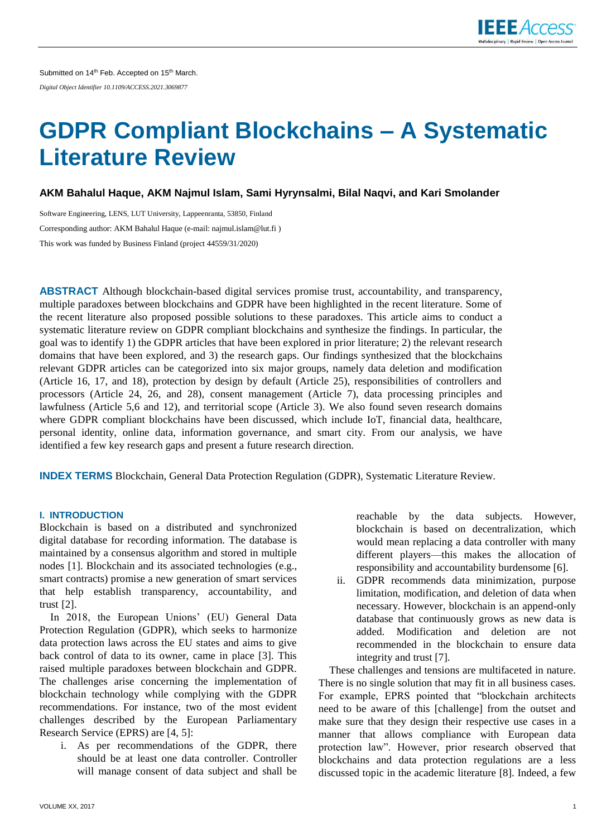

# **GDPR Compliant Blockchains – A Systematic Literature Review**

**AKM Bahalul Haque, AKM Najmul Islam, Sami Hyrynsalmi, Bilal Naqvi, and Kari Smolander**

Software Engineering, LENS, LUT University, Lappeenranta, 53850, Finland Corresponding author: AKM Bahalul Haque (e-mail: najmul.islam@lut.fi ) This work was funded by Business Finland (project 44559/31/2020)

**ABSTRACT** Although blockchain-based digital services promise trust, accountability, and transparency, multiple paradoxes between blockchains and GDPR have been highlighted in the recent literature. Some of the recent literature also proposed possible solutions to these paradoxes. This article aims to conduct a systematic literature review on GDPR compliant blockchains and synthesize the findings. In particular, the goal was to identify 1) the GDPR articles that have been explored in prior literature; 2) the relevant research domains that have been explored, and 3) the research gaps. Our findings synthesized that the blockchains relevant GDPR articles can be categorized into six major groups, namely data deletion and modification (Article 16, 17, and 18), protection by design by default (Article 25), responsibilities of controllers and processors (Article 24, 26, and 28), consent management (Article 7), data processing principles and lawfulness (Article 5,6 and 12), and territorial scope (Article 3). We also found seven research domains where GDPR compliant blockchains have been discussed, which include IoT, financial data, healthcare, personal identity, online data, information governance, and smart city. From our analysis, we have identified a few key research gaps and present a future research direction.

**INDEX TERMS** Blockchain, General Data Protection Regulation (GDPR), Systematic Literature Review.

# **I. INTRODUCTION**

Blockchain is based on a distributed and synchronized digital database for recording information. The database is maintained by a consensus algorithm and stored in multiple nodes [1]. Blockchain and its associated technologies (e.g., smart contracts) promise a new generation of smart services that help establish transparency, accountability, and trust [2].

In 2018, the European Unions' (EU) General Data Protection Regulation (GDPR), which seeks to harmonize data protection laws across the EU states and aims to give back control of data to its owner, came in place [3]. This raised multiple paradoxes between blockchain and GDPR. The challenges arise concerning the implementation of blockchain technology while complying with the GDPR recommendations. For instance, two of the most evident challenges described by the European Parliamentary Research Service (EPRS) are [4, 5]:

i. As per recommendations of the GDPR, there should be at least one data controller. Controller will manage consent of data subject and shall be

reachable by the data subjects. However, blockchain is based on decentralization, which would mean replacing a data controller with many different players—this makes the allocation of responsibility and accountability burdensome [6].

ii. GDPR recommends data minimization, purpose limitation, modification, and deletion of data when necessary. However, blockchain is an append-only database that continuously grows as new data is added. Modification and deletion are not recommended in the blockchain to ensure data integrity and trust [7].

These challenges and tensions are multifaceted in nature. There is no single solution that may fit in all business cases. For example, EPRS pointed that "blockchain architects need to be aware of this [challenge] from the outset and make sure that they design their respective use cases in a manner that allows compliance with European data protection law". However, prior research observed that blockchains and data protection regulations are a less discussed topic in the academic literature [8]. Indeed, a few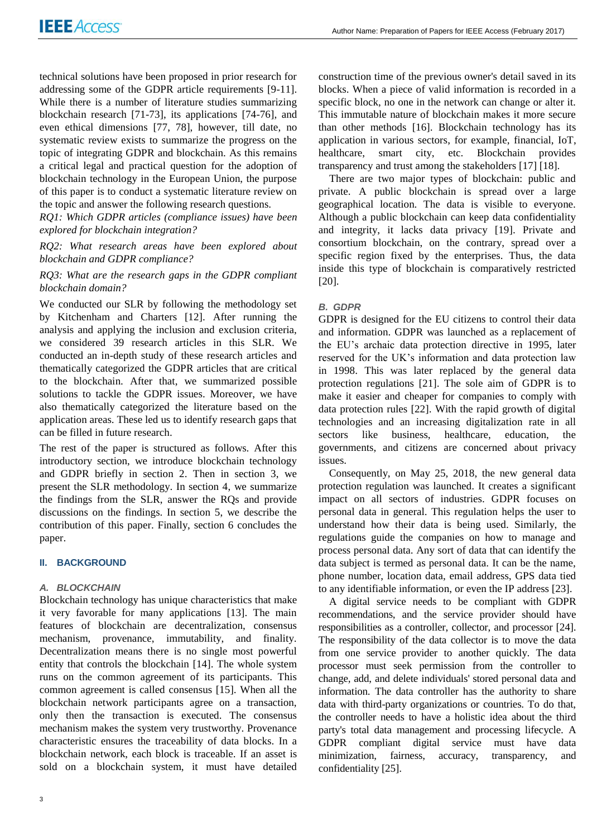technical solutions have been proposed in prior research for addressing some of the GDPR article requirements [9-11]. While there is a number of literature studies summarizing blockchain research [71-73], its applications [74-76], and even ethical dimensions [77, 78], however, till date, no systematic review exists to summarize the progress on the topic of integrating GDPR and blockchain. As this remains a critical legal and practical question for the adoption of blockchain technology in the European Union, the purpose of this paper is to conduct a systematic literature review on the topic and answer the following research questions.

*RQ1: Which GDPR articles (compliance issues) have been explored for blockchain integration?* 

*RQ2: What research areas have been explored about blockchain and GDPR compliance?*

# *RQ3: What are the research gaps in the GDPR compliant blockchain domain?*

We conducted our SLR by following the methodology set by Kitchenham and Charters [12]. After running the analysis and applying the inclusion and exclusion criteria, we considered 39 research articles in this SLR. We conducted an in-depth study of these research articles and thematically categorized the GDPR articles that are critical to the blockchain. After that, we summarized possible solutions to tackle the GDPR issues. Moreover, we have also thematically categorized the literature based on the application areas. These led us to identify research gaps that can be filled in future research.

The rest of the paper is structured as follows. After this introductory section, we introduce blockchain technology and GDPR briefly in section 2. Then in section 3, we present the SLR methodology. In section 4, we summarize the findings from the SLR, answer the RQs and provide discussions on the findings. In section 5, we describe the contribution of this paper. Finally, section 6 concludes the paper.

# **II. BACKGROUND**

# *A. BLOCKCHAIN*

Blockchain technology has unique characteristics that make it very favorable for many applications [13]. The main features of blockchain are decentralization, consensus mechanism, provenance, immutability, and finality. Decentralization means there is no single most powerful entity that controls the blockchain [14]. The whole system runs on the common agreement of its participants. This common agreement is called consensus [15]. When all the blockchain network participants agree on a transaction, only then the transaction is executed. The consensus mechanism makes the system very trustworthy. Provenance characteristic ensures the traceability of data blocks. In a blockchain network, each block is traceable. If an asset is sold on a blockchain system, it must have detailed

construction time of the previous owner's detail saved in its blocks. When a piece of valid information is recorded in a specific block, no one in the network can change or alter it. This immutable nature of blockchain makes it more secure than other methods [16]. Blockchain technology has its application in various sectors, for example, financial, IoT, healthcare, smart city, etc. Blockchain provides transparency and trust among the stakeholders [17] [18].

There are two major types of blockchain: public and private. A public blockchain is spread over a large geographical location. The data is visible to everyone. Although a public blockchain can keep data confidentiality and integrity, it lacks data privacy [19]. Private and consortium blockchain, on the contrary, spread over a specific region fixed by the enterprises. Thus, the data inside this type of blockchain is comparatively restricted [20].

# *B. GDPR*

GDPR is designed for the EU citizens to control their data and information. GDPR was launched as a replacement of the EU's archaic data protection directive in 1995, later reserved for the UK's information and data protection law in 1998. This was later replaced by the general data protection regulations [21]. The sole aim of GDPR is to make it easier and cheaper for companies to comply with data protection rules [22]. With the rapid growth of digital technologies and an increasing digitalization rate in all sectors like business, healthcare, education, the governments, and citizens are concerned about privacy issues.

Consequently, on May 25, 2018, the new general data protection regulation was launched. It creates a significant impact on all sectors of industries. GDPR focuses on personal data in general. This regulation helps the user to understand how their data is being used. Similarly, the regulations guide the companies on how to manage and process personal data. Any sort of data that can identify the data subject is termed as personal data. It can be the name, phone number, location data, email address, GPS data tied to any identifiable information, or even the IP address [23].

A digital service needs to be compliant with GDPR recommendations, and the service provider should have responsibilities as a controller, collector, and processor [24]. The responsibility of the data collector is to move the data from one service provider to another quickly. The data processor must seek permission from the controller to change, add, and delete individuals' stored personal data and information. The data controller has the authority to share data with third-party organizations or countries. To do that, the controller needs to have a holistic idea about the third party's total data management and processing lifecycle. A GDPR compliant digital service must have data minimization, fairness, accuracy, transparency, and confidentiality [25].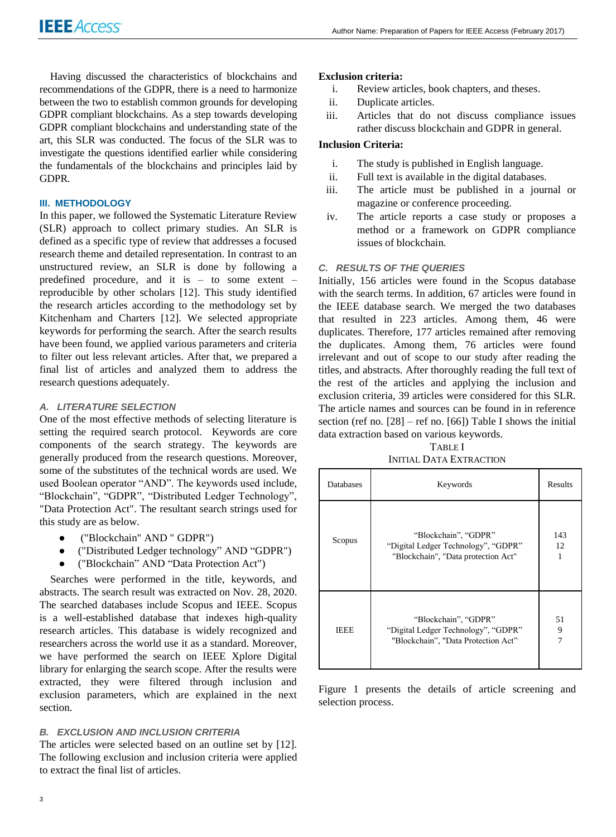Having discussed the characteristics of blockchains and recommendations of the GDPR, there is a need to harmonize between the two to establish common grounds for developing GDPR compliant blockchains. As a step towards developing GDPR compliant blockchains and understanding state of the art, this SLR was conducted. The focus of the SLR was to investigate the questions identified earlier while considering the fundamentals of the blockchains and principles laid by GDPR.

## **III. METHODOLOGY**

In this paper, we followed the Systematic Literature Review (SLR) approach to collect primary studies. An SLR is defined as a specific type of review that addresses a focused research theme and detailed representation. In contrast to an unstructured review, an SLR is done by following a predefined procedure, and it is  $-$  to some extent  $$ reproducible by other scholars [12]. This study identified the research articles according to the methodology set by Kitchenham and Charters [12]. We selected appropriate keywords for performing the search. After the search results have been found, we applied various parameters and criteria to filter out less relevant articles. After that, we prepared a final list of articles and analyzed them to address the research questions adequately.

# *A. LITERATURE SELECTION*

One of the most effective methods of selecting literature is setting the required search protocol. Keywords are core components of the search strategy. The keywords are generally produced from the research questions. Moreover, some of the substitutes of the technical words are used. We used Boolean operator "AND". The keywords used include, "Blockchain", "GDPR", "Distributed Ledger Technology", "Data Protection Act". The resultant search strings used for this study are as below.

- ("Blockchain" AND " GDPR")
- ("Distributed Ledger technology" AND "GDPR")
- ("Blockchain" AND "Data Protection Act")

Searches were performed in the title, keywords, and abstracts. The search result was extracted on Nov. 28, 2020. The searched databases include Scopus and IEEE. Scopus is a well-established database that indexes high-quality research articles. This database is widely recognized and researchers across the world use it as a standard. Moreover, we have performed the search on IEEE Xplore Digital library for enlarging the search scope. After the results were extracted, they were filtered through inclusion and exclusion parameters, which are explained in the next section.

# *B. EXCLUSION AND INCLUSION CRITERIA*

The articles were selected based on an outline set by [12]. The following exclusion and inclusion criteria were applied to extract the final list of articles.

# **Exclusion criteria:**

- i. Review articles, book chapters, and theses.
- ii. Duplicate articles.
- iii. Articles that do not discuss compliance issues rather discuss blockchain and GDPR in general.

## **Inclusion Criteria:**

- i. The study is published in English language.
- ii. Full text is available in the digital databases.
- iii. The article must be published in a journal or magazine or conference proceeding.
- iv. The article reports a case study or proposes a method or a framework on GDPR compliance issues of blockchain.

## *C. RESULTS OF THE QUERIES*

Initially, 156 articles were found in the Scopus database with the search terms. In addition, 67 articles were found in the IEEE database search. We merged the two databases that resulted in 223 articles. Among them, 46 were duplicates. Therefore, 177 articles remained after removing the duplicates. Among them, 76 articles were found irrelevant and out of scope to our study after reading the titles, and abstracts. After thoroughly reading the full text of the rest of the articles and applying the inclusion and exclusion criteria, 39 articles were considered for this SLR. The article names and sources can be found in in reference section (ref no.  $[28]$  – ref no.  $[66]$ ) Table I shows the initial data extraction based on various keywords.

TABLE I INITIAL DATA EXTRACTION

| Databases   | Keywords                                                                                           | Results   |
|-------------|----------------------------------------------------------------------------------------------------|-----------|
| Scopus      | "Blockchain", "GDPR"<br>"Digital Ledger Technology", "GDPR"<br>"Blockchain", "Data protection Act" | 143<br>12 |
| <b>IEEE</b> | "Blockchain", "GDPR"<br>"Digital Ledger Technology", "GDPR"<br>"Blockchain", "Data Protection Act" | 51<br>9   |

Figure 1 presents the details of article screening and selection process.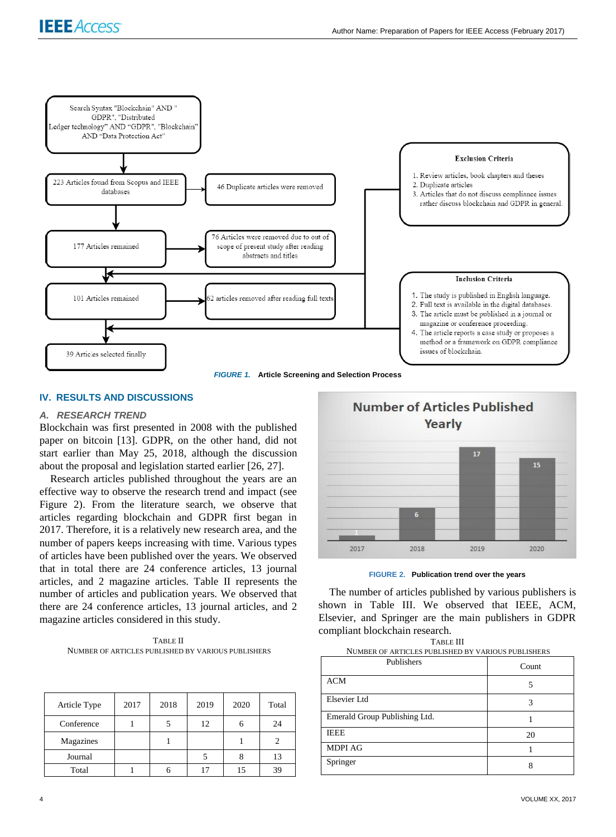

*FIGURE 1.* **Article Screening and Selection Process**

# **IV. RESULTS AND DISCUSSIONS**

#### *A. RESEARCH TREND*

Blockchain was first presented in 2008 with the published paper on bitcoin [13]. GDPR, on the other hand, did not start earlier than May 25, 2018, although the discussion about the proposal and legislation started earlier [26, 27].

Research articles published throughout the years are an effective way to observe the research trend and impact (see Figure 2). From the literature search, we observe that articles regarding blockchain and GDPR first began in 2017. Therefore, it is a relatively new research area, and the number of papers keeps increasing with time. Various types of articles have been published over the years. We observed that in total there are 24 conference articles, 13 journal articles, and 2 magazine articles. Table II represents the number of articles and publication years. We observed that there are 24 conference articles, 13 journal articles, and 2 magazine articles considered in this study.

TABLE II NUMBER OF ARTICLES PUBLISHED BY VARIOUS PUBLISHERS

| Article Type | 2017 | 2018 | 2019 | 2020 | Total |
|--------------|------|------|------|------|-------|
| Conference   |      |      | 12   |      | 24    |
| Magazines    |      |      |      |      |       |
| Journal      |      |      |      |      | 13    |
| Total        |      |      | 17   |      | 39    |





The number of articles published by various publishers is shown in Table III. We observed that IEEE, ACM, Elsevier, and Springer are the main publishers in GDPR compliant blockchain research. TABLE III

| TABLE III                                            |  |  |  |  |
|------------------------------------------------------|--|--|--|--|
| NHMRER OF ARTICLES PHRI ISHED BY VARIOUS PHRI ISHERS |  |  |  |  |

| TOMBER OF ARTICEED FOREIGHED BT VARIOUS FOREIGHERD |       |  |  |  |
|----------------------------------------------------|-------|--|--|--|
| Publishers                                         | Count |  |  |  |
| <b>ACM</b>                                         |       |  |  |  |
| Elsevier Ltd                                       |       |  |  |  |
| Emerald Group Publishing Ltd.                      |       |  |  |  |
| <b>IEEE</b>                                        | 20    |  |  |  |
| <b>MDPI AG</b>                                     |       |  |  |  |
| Springer                                           |       |  |  |  |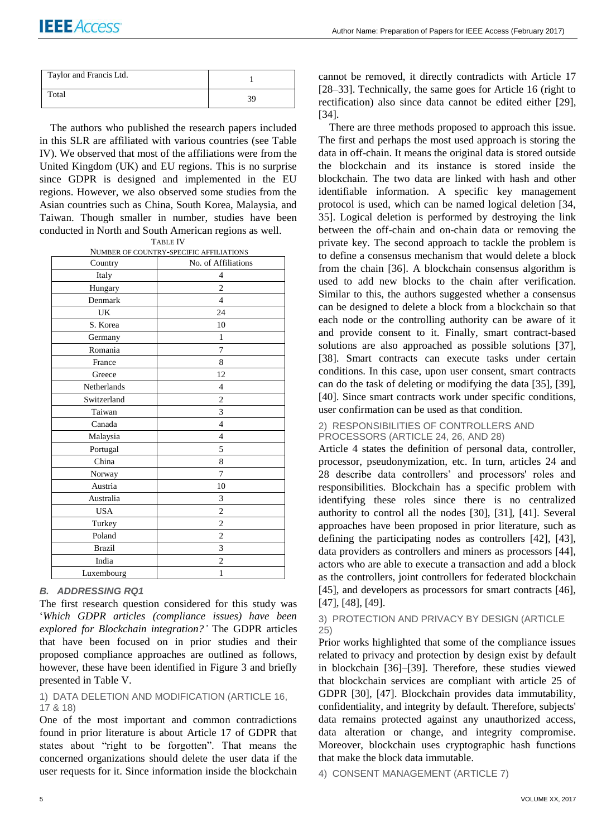| Taylor and Francis Ltd. |  |
|-------------------------|--|
| Total                   |  |

The authors who published the research papers included in this SLR are affiliated with various countries (see Table IV). We observed that most of the affiliations were from the United Kingdom (UK) and EU regions. This is no surprise since GDPR is designed and implemented in the EU regions. However, we also observed some studies from the Asian countries such as China, South Korea, Malaysia, and Taiwan. Though smaller in number, studies have been conducted in North and South American regions as well.

| TABLE L |
|---------|
|---------|

NUMBER OF COUNTRY-SPECIFIC AFFILIATIONS

| Country       | No. of Affiliations |
|---------------|---------------------|
| Italy         | 4                   |
| Hungary       | $\overline{2}$      |
| Denmark       | $\overline{4}$      |
| UK            | 24                  |
| S. Korea      | 10                  |
| Germany       | $\mathbf{1}$        |
| Romania       | 7                   |
| France        | 8                   |
| Greece        | 12                  |
| Netherlands   | 4                   |
| Switzerland   | $\overline{c}$      |
| Taiwan        | 3                   |
| Canada        | 4                   |
| Malaysia      | $\overline{4}$      |
| Portugal      | 5                   |
| China         | 8                   |
| Norway        | 7                   |
| Austria       | 10                  |
| Australia     | 3                   |
| <b>USA</b>    | $\overline{c}$      |
| Turkey        | $\overline{c}$      |
| Poland        | $\overline{c}$      |
| <b>Brazil</b> | 3                   |
| India         | $\overline{c}$      |
| Luxembourg    | $\mathbf{1}$        |

*B. ADDRESSING RQ1*

The first research question considered for this study was '*Which GDPR articles (compliance issues) have been explored for Blockchain integration?'* The GDPR articles that have been focused on in prior studies and their proposed compliance approaches are outlined as follows, however, these have been identified in Figure 3 and briefly presented in Table V.

1) DATA DELETION AND MODIFICATION (ARTICLE 16, 17 & 18)

One of the most important and common contradictions found in prior literature is about Article 17 of GDPR that states about "right to be forgotten". That means the concerned organizations should delete the user data if the user requests for it. Since information inside the blockchain cannot be removed, it directly contradicts with Article 17 [28–33]. Technically, the same goes for Article 16 (right to rectification) also since data cannot be edited either [29], [34].

There are three methods proposed to approach this issue. The first and perhaps the most used approach is storing the data in off-chain. It means the original data is stored outside the blockchain and its instance is stored inside the blockchain. The two data are linked with hash and other identifiable information. A specific key management protocol is used, which can be named logical deletion [34, 35]. Logical deletion is performed by destroying the link between the off-chain and on-chain data or removing the private key. The second approach to tackle the problem is to define a consensus mechanism that would delete a block from the chain [36]. A blockchain consensus algorithm is used to add new blocks to the chain after verification. Similar to this, the authors suggested whether a consensus can be designed to delete a block from a blockchain so that each node or the controlling authority can be aware of it and provide consent to it. Finally, smart contract-based solutions are also approached as possible solutions [37], [38]. Smart contracts can execute tasks under certain conditions. In this case, upon user consent, smart contracts can do the task of deleting or modifying the data [35], [39], [40]. Since smart contracts work under specific conditions, user confirmation can be used as that condition.

## 2) RESPONSIBILITIES OF CONTROLLERS AND PROCESSORS (ARTICLE 24, 26, AND 28)

Article 4 states the definition of personal data, controller, processor, pseudonymization, etc. In turn, articles 24 and 28 describe data controllers' and processors' roles and responsibilities. Blockchain has a specific problem with identifying these roles since there is no centralized authority to control all the nodes [30], [31], [41]. Several approaches have been proposed in prior literature, such as defining the participating nodes as controllers [42], [43], data providers as controllers and miners as processors [44], actors who are able to execute a transaction and add a block as the controllers, joint controllers for federated blockchain [45], and developers as processors for smart contracts [46], [47], [48], [49].

# 3) PROTECTION AND PRIVACY BY DESIGN (ARTICLE 25)

Prior works highlighted that some of the compliance issues related to privacy and protection by design exist by default in blockchain [36]–[39]. Therefore, these studies viewed that blockchain services are compliant with article 25 of GDPR [30], [47]. Blockchain provides data immutability, confidentiality, and integrity by default. Therefore, subjects' data remains protected against any unauthorized access, data alteration or change, and integrity compromise. Moreover, blockchain uses cryptographic hash functions that make the block data immutable.

4) CONSENT MANAGEMENT (ARTICLE 7)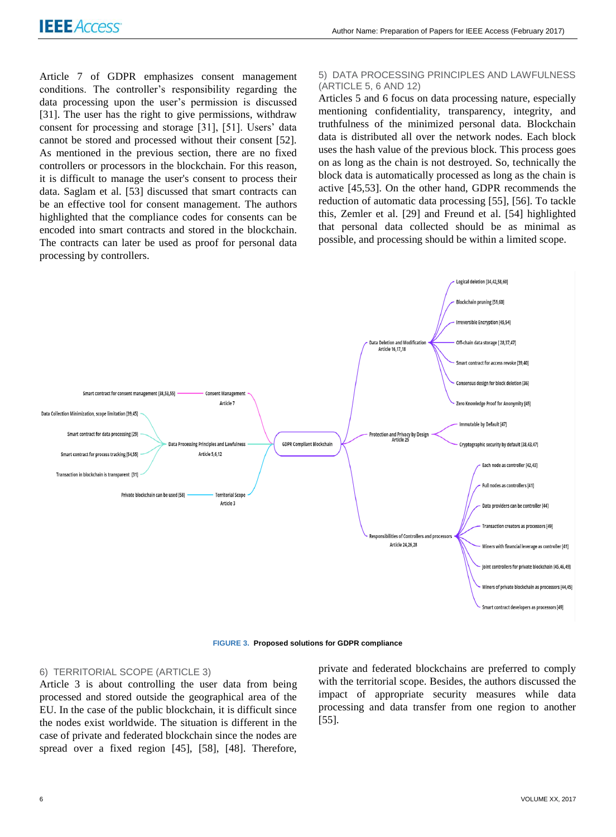Article 7 of GDPR emphasizes consent management conditions. The controller's responsibility regarding the data processing upon the user's permission is discussed [31]. The user has the right to give permissions, withdraw consent for processing and storage [31], [51]. Users' data cannot be stored and processed without their consent [52]. As mentioned in the previous section, there are no fixed controllers or processors in the blockchain. For this reason, it is difficult to manage the user's consent to process their data. Saglam et al. [53] discussed that smart contracts can be an effective tool for consent management. The authors highlighted that the compliance codes for consents can be encoded into smart contracts and stored in the blockchain. The contracts can later be used as proof for personal data processing by controllers.

#### 5) DATA PROCESSING PRINCIPLES AND LAWFULNESS (ARTICLE 5, 6 AND 12)

Articles 5 and 6 focus on data processing nature, especially mentioning confidentiality, transparency, integrity, and truthfulness of the minimized personal data. Blockchain data is distributed all over the network nodes. Each block uses the hash value of the previous block. This process goes on as long as the chain is not destroyed. So, technically the block data is automatically processed as long as the chain is active [45,53]. On the other hand, GDPR recommends the reduction of automatic data processing [55], [56]. To tackle this, Zemler et al. [29] and Freund et al. [54] highlighted that personal data collected should be as minimal as possible, and processing should be within a limited scope.



**FIGURE 3. Proposed solutions for GDPR compliance**

#### 6) TERRITORIAL SCOPE (ARTICLE 3)

Article 3 is about controlling the user data from being processed and stored outside the geographical area of the EU. In the case of the public blockchain, it is difficult since the nodes exist worldwide. The situation is different in the case of private and federated blockchain since the nodes are spread over a fixed region [45], [58], [48]. Therefore, private and federated blockchains are preferred to comply with the territorial scope. Besides, the authors discussed the impact of appropriate security measures while data processing and data transfer from one region to another [55].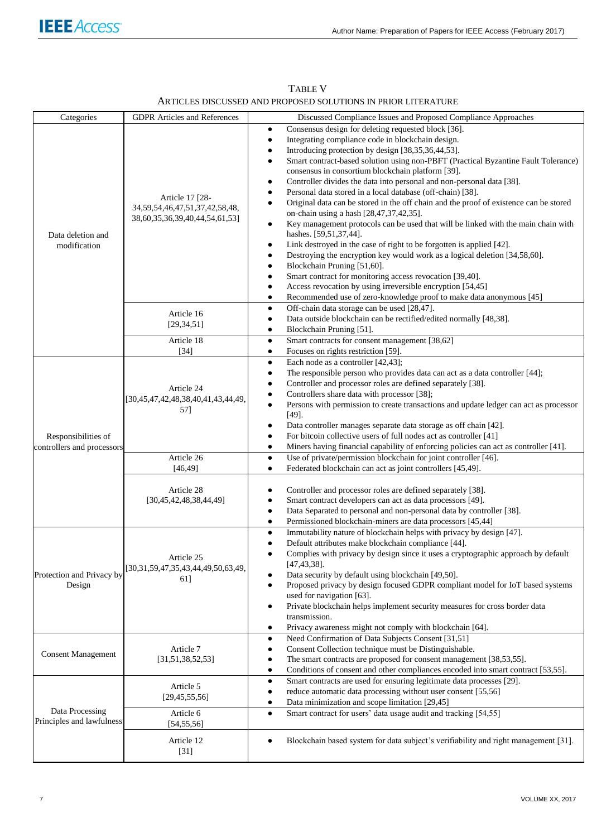| Categories                                        | <b>GDPR</b> Articles and References                                                          | Discussed Compliance Issues and Proposed Compliance Approaches                                                                                                                                                                                                                                                                                                                                                                                                                                                                                                                                                                                                                                                                                                                                                                                                                                                                                                                                                                                                                                                                                      |
|---------------------------------------------------|----------------------------------------------------------------------------------------------|-----------------------------------------------------------------------------------------------------------------------------------------------------------------------------------------------------------------------------------------------------------------------------------------------------------------------------------------------------------------------------------------------------------------------------------------------------------------------------------------------------------------------------------------------------------------------------------------------------------------------------------------------------------------------------------------------------------------------------------------------------------------------------------------------------------------------------------------------------------------------------------------------------------------------------------------------------------------------------------------------------------------------------------------------------------------------------------------------------------------------------------------------------|
| Data deletion and<br>modification                 | Article 17 [28-<br>34, 59, 54, 46, 47, 51, 37, 42, 58, 48,<br>38,60,35,36,39,40,44,54,61,53] | Consensus design for deleting requested block [36].<br>٠<br>Integrating compliance code in blockchain design.<br>$\bullet$<br>Introducing protection by design [38,35,36,44,53].<br>٠<br>Smart contract-based solution using non-PBFT (Practical Byzantine Fault Tolerance)<br>٠<br>consensus in consortium blockchain platform [39].<br>Controller divides the data into personal and non-personal data [38].<br>٠<br>Personal data stored in a local database (off-chain) [38].<br>Original data can be stored in the off chain and the proof of existence can be stored<br>on-chain using a hash [28,47,37,42,35].<br>Key management protocols can be used that will be linked with the main chain with<br>٠<br>hashes. [59,51,37,44].<br>Link destroyed in the case of right to be forgotten is applied [42].<br>٠<br>Destroying the encryption key would work as a logical deletion [34,58,60].<br>Blockchain Pruning [51,60].<br>٠<br>Smart contract for monitoring access revocation [39,40].<br>٠<br>Access revocation by using irreversible encryption [54,45]<br>Recommended use of zero-knowledge proof to make data anonymous [45]<br>٠ |
|                                                   | Article 16<br>[29, 34, 51]<br>Article 18                                                     | Off-chain data storage can be used [28,47].<br>٠<br>Data outside blockchain can be rectified/edited normally [48,38].<br>٠<br>Blockchain Pruning [51].<br>٠<br>Smart contracts for consent management [38,62]<br>$\bullet$                                                                                                                                                                                                                                                                                                                                                                                                                                                                                                                                                                                                                                                                                                                                                                                                                                                                                                                          |
| Responsibilities of<br>controllers and processors | $[34]$<br>Article 24<br>[30,45,47,42,48,38,40,41,43,44,49,<br>57]                            | Focuses on rights restriction [59].<br>$\bullet$<br>Each node as a controller [42,43];<br>$\bullet$<br>The responsible person who provides data can act as a data controller [44];<br>$\bullet$<br>Controller and processor roles are defined separately [38].<br>٠<br>Controllers share data with processor [38];<br>٠<br>Persons with permission to create transactions and update ledger can act as processor<br>$\bullet$<br>$[49]$ .<br>Data controller manages separate data storage as off chain [42].<br>٠<br>For bitcoin collective users of full nodes act as controller [41]<br>٠<br>Miners having financial capability of enforcing policies can act as controller [41].<br>٠                                                                                                                                                                                                                                                                                                                                                                                                                                                           |
|                                                   | Article 26<br>[46, 49]                                                                       | Use of private/permission blockchain for joint controller [46].<br>٠<br>Federated blockchain can act as joint controllers [45,49].<br>$\bullet$                                                                                                                                                                                                                                                                                                                                                                                                                                                                                                                                                                                                                                                                                                                                                                                                                                                                                                                                                                                                     |
|                                                   | Article 28<br>[30,45,42,48,38,44,49]                                                         | Controller and processor roles are defined separately [38].<br>٠<br>Smart contract developers can act as data processors [49].<br>$\bullet$<br>Data Separated to personal and non-personal data by controller [38].<br>Permissioned blockchain-miners are data processors [45,44]<br>$\bullet$                                                                                                                                                                                                                                                                                                                                                                                                                                                                                                                                                                                                                                                                                                                                                                                                                                                      |
| Protection and Privacy by<br>Design               | Article 25<br>[30,31,59,47,35,43,44,49,50,63,49,<br>61]                                      | Immutability nature of blockchain helps with privacy by design [47].<br>٠<br>Default attributes make blockchain compliance [44].<br>٠<br>Complies with privacy by design since it uses a cryptographic approach by default<br>$[47, 43, 38]$ .<br>Data security by default using blockchain [49,50].<br>Proposed privacy by design focused GDPR compliant model for IoT based systems<br>used for navigation [63].<br>Private blockchain helps implement security measures for cross border data<br>٠<br>transmission.<br>Privacy awareness might not comply with blockchain [64].<br>٠                                                                                                                                                                                                                                                                                                                                                                                                                                                                                                                                                             |
| <b>Consent Management</b>                         | Article 7<br>[31, 51, 38, 52, 53]                                                            | Need Confirmation of Data Subjects Consent [31,51]<br>٠<br>Consent Collection technique must be Distinguishable.<br>٠<br>The smart contracts are proposed for consent management [38,53,55].<br>٠<br>Conditions of consent and other compliances encoded into smart contract [53,55].<br>٠                                                                                                                                                                                                                                                                                                                                                                                                                                                                                                                                                                                                                                                                                                                                                                                                                                                          |
| Data Processing<br>Principles and lawfulness      | Article 5<br>[29, 45, 55, 56]<br>Article 6                                                   | Smart contracts are used for ensuring legitimate data processes [29].<br>٠<br>reduce automatic data processing without user consent [55,56]<br>٠<br>Data minimization and scope limitation [29,45]<br>٠<br>Smart contract for users' data usage audit and tracking [54,55]<br>$\bullet$                                                                                                                                                                                                                                                                                                                                                                                                                                                                                                                                                                                                                                                                                                                                                                                                                                                             |
|                                                   | [54, 55, 56]<br>Article 12<br>$[31]$                                                         | Blockchain based system for data subject's verifiability and right management [31].                                                                                                                                                                                                                                                                                                                                                                                                                                                                                                                                                                                                                                                                                                                                                                                                                                                                                                                                                                                                                                                                 |

TABLE V ARTICLES DISCUSSED AND PROPOSED SOLUTIONS IN PRIOR LITERATURE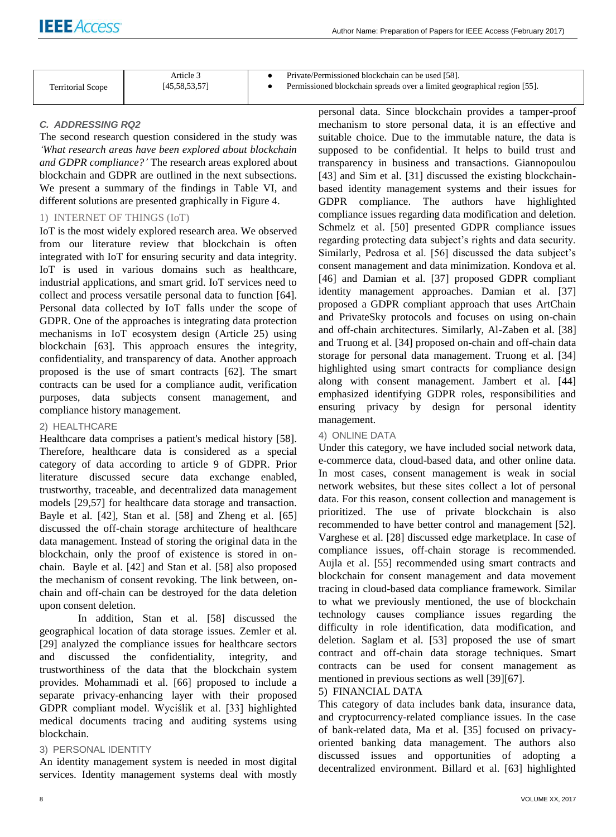|                          | Article 3     | Private/Permissioned blockchain can be used [58].                        |
|--------------------------|---------------|--------------------------------------------------------------------------|
| <b>Territorial Scope</b> | [45,58,53,57] | Permissioned blockchain spreads over a limited geographical region [55]. |

# *C. ADDRESSING RQ2*

The second research question considered in the study was *'What research areas have been explored about blockchain and GDPR compliance?'* The research areas explored about blockchain and GDPR are outlined in the next subsections. We present a summary of the findings in Table VI, and different solutions are presented graphically in Figure 4.

# 1) INTERNET OF THINGS (IoT)

IoT is the most widely explored research area. We observed from our literature review that blockchain is often integrated with IoT for ensuring security and data integrity. IoT is used in various domains such as healthcare, industrial applications, and smart grid. IoT services need to collect and process versatile personal data to function [64]. Personal data collected by IoT falls under the scope of GDPR. One of the approaches is integrating data protection mechanisms in IoT ecosystem design (Article 25) using blockchain [63]. This approach ensures the integrity, confidentiality, and transparency of data. Another approach proposed is the use of smart contracts [62]. The smart contracts can be used for a compliance audit, verification purposes, data subjects consent management, and compliance history management.

# 2) HEALTHCARE

Healthcare data comprises a patient's medical history [58]. Therefore, healthcare data is considered as a special category of data according to article 9 of GDPR. Prior literature discussed secure data exchange enabled, trustworthy, traceable, and decentralized data management models [29,57] for healthcare data storage and transaction. Bayle et al. [42], Stan et al. [58] and Zheng et al. [65] discussed the off-chain storage architecture of healthcare data management. Instead of storing the original data in the blockchain, only the proof of existence is stored in onchain. Bayle et al. [42] and Stan et al. [58] also proposed the mechanism of consent revoking. The link between, onchain and off-chain can be destroyed for the data deletion upon consent deletion.

In addition, Stan et al. [58] discussed the geographical location of data storage issues. Zemler et al. [29] analyzed the compliance issues for healthcare sectors and discussed the confidentiality, integrity, and trustworthiness of the data that the blockchain system provides. Mohammadi et al. [66] proposed to include a separate privacy-enhancing layer with their proposed GDPR compliant model. Wyciślik et al. [33] highlighted medical documents tracing and auditing systems using blockchain.

# 3) PERSONAL IDENTITY

An identity management system is needed in most digital services. Identity management systems deal with mostly

personal data. Since blockchain provides a tamper-proof mechanism to store personal data, it is an effective and suitable choice. Due to the immutable nature, the data is supposed to be confidential. It helps to build trust and transparency in business and transactions. Giannopoulou [43] and Sim et al. [31] discussed the existing blockchainbased identity management systems and their issues for GDPR compliance. The authors have highlighted compliance issues regarding data modification and deletion. Schmelz et al. [50] presented GDPR compliance issues regarding protecting data subject's rights and data security. Similarly, Pedrosa et al. [56] discussed the data subject's consent management and data minimization. Kondova et al. [46] and Damian et al. [37] proposed GDPR compliant identity management approaches. Damian et al. [37] proposed a GDPR compliant approach that uses ArtChain and PrivateSky protocols and focuses on using on-chain and off-chain architectures. Similarly, Al-Zaben et al. [38] and Truong et al. [34] proposed on-chain and off-chain data storage for personal data management. Truong et al. [34] highlighted using smart contracts for compliance design along with consent management. Jambert et al. [44] emphasized identifying GDPR roles, responsibilities and ensuring privacy by design for personal identity management.

# 4) ONLINE DATA

Under this category, we have included social network data, e-commerce data, cloud-based data, and other online data. In most cases, consent management is weak in social network websites, but these sites collect a lot of personal data. For this reason, consent collection and management is prioritized. The use of private blockchain is also recommended to have better control and management [52]. Varghese et al. [28] discussed edge marketplace. In case of compliance issues, off-chain storage is recommended. Aujla et al. [55] recommended using smart contracts and blockchain for consent management and data movement tracing in cloud-based data compliance framework. Similar to what we previously mentioned, the use of blockchain technology causes compliance issues regarding the difficulty in role identification, data modification, and deletion. Saglam et al. [53] proposed the use of smart contract and off-chain data storage techniques. Smart contracts can be used for consent management as mentioned in previous sections as well [39][67].

# 5) FINANCIAL DATA

This category of data includes bank data, insurance data, and cryptocurrency-related compliance issues. In the case of bank-related data, Ma et al. [35] focused on privacyoriented banking data management. The authors also discussed issues and opportunities of adopting a decentralized environment. Billard et al. [63] highlighted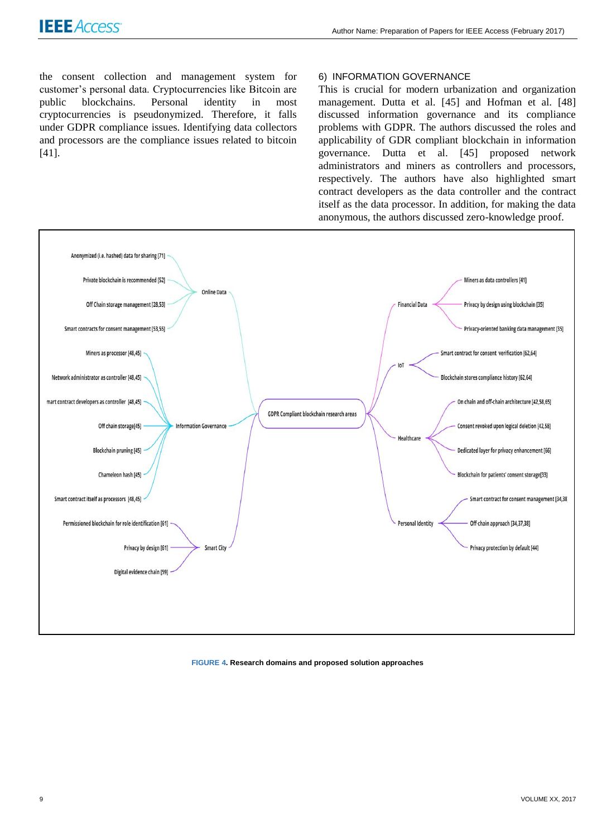the consent collection and management system for customer's personal data. Cryptocurrencies like Bitcoin are public blockchains. Personal identity in most cryptocurrencies is pseudonymized. Therefore, it falls under GDPR compliance issues. Identifying data collectors and processors are the compliance issues related to bitcoin [41].

#### 6) INFORMATION GOVERNANCE

This is crucial for modern urbanization and organization management. Dutta et al. [45] and Hofman et al. [48] discussed information governance and its compliance problems with GDPR. The authors discussed the roles and applicability of GDR compliant blockchain in information governance. Dutta et al. [45] proposed network administrators and miners as controllers and processors, respectively. The authors have also highlighted smart contract developers as the data controller and the contract itself as the data processor. In addition, for making the data anonymous, the authors discussed zero-knowledge proof.



#### **FIGURE 4. Research domains and proposed solution approaches**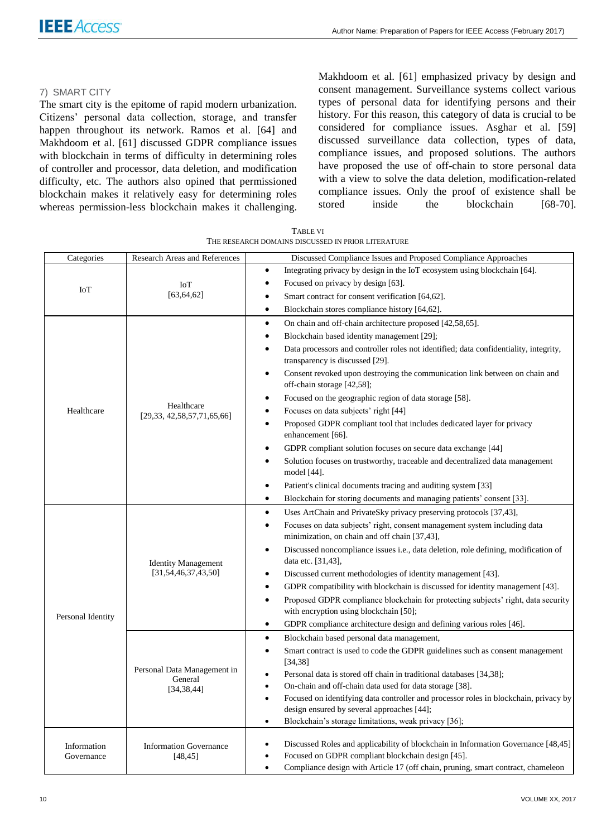# 7) SMART CITY

The smart city is the epitome of rapid modern urbanization. Citizens' personal data collection, storage, and transfer happen throughout its network. Ramos et al. [64] and Makhdoom et al. [61] discussed GDPR compliance issues with blockchain in terms of difficulty in determining roles of controller and processor, data deletion, and modification difficulty, etc. The authors also opined that permissioned blockchain makes it relatively easy for determining roles whereas permission-less blockchain makes it challenging. Makhdoom et al. [61] emphasized privacy by design and consent management. Surveillance systems collect various types of personal data for identifying persons and their history. For this reason, this category of data is crucial to be considered for compliance issues. Asghar et al. [59] discussed surveillance data collection, types of data, compliance issues, and proposed solutions. The authors have proposed the use of off-chain to store personal data with a view to solve the data deletion, modification-related compliance issues. Only the proof of existence shall be stored inside the blockchain [68-70].

| Categories        | Research Areas and References | Discussed Compliance Issues and Proposed Compliance Approaches<br>$\bullet$                                                                     |
|-------------------|-------------------------------|-------------------------------------------------------------------------------------------------------------------------------------------------|
| <b>IoT</b>        |                               | Integrating privacy by design in the IoT ecosystem using blockchain [64].<br>$\bullet$                                                          |
|                   | IoT<br>[63, 64, 62]           | Focused on privacy by design [63].                                                                                                              |
|                   |                               | Smart contract for consent verification [64,62].<br>٠                                                                                           |
|                   |                               | Blockchain stores compliance history [64,62].<br>$\bullet$                                                                                      |
|                   |                               | On chain and off-chain architecture proposed [42,58,65].<br>$\bullet$                                                                           |
|                   |                               | Blockchain based identity management [29];<br>$\bullet$                                                                                         |
|                   |                               | Data processors and controller roles not identified; data confidentiality, integrity,<br>$\bullet$                                              |
|                   |                               | transparency is discussed [29].                                                                                                                 |
|                   |                               | Consent revoked upon destroying the communication link between on chain and<br>$\bullet$                                                        |
|                   |                               | off-chain storage [42,58];<br>Focused on the geographic region of data storage [58].<br>$\bullet$                                               |
| Healthcare        | Healthcare                    | Focuses on data subjects' right [44]<br>٠                                                                                                       |
|                   | [29,33, 42,58,57,71,65,66]    | Proposed GDPR compliant tool that includes dedicated layer for privacy<br>$\bullet$                                                             |
|                   |                               | enhancement [66].                                                                                                                               |
|                   |                               | GDPR compliant solution focuses on secure data exchange [44]<br>$\bullet$                                                                       |
|                   |                               | Solution focuses on trustworthy, traceable and decentralized data management<br>$\bullet$                                                       |
|                   |                               | model $[44]$ .                                                                                                                                  |
|                   |                               | Patient's clinical documents tracing and auditing system [33]<br>$\bullet$                                                                      |
|                   |                               | Blockchain for storing documents and managing patients' consent [33].<br>$\bullet$                                                              |
|                   |                               | Uses ArtChain and PrivateSky privacy preserving protocols [37,43],<br>$\bullet$                                                                 |
|                   |                               | Focuses on data subjects' right, consent management system including data<br>$\bullet$                                                          |
|                   |                               | minimization, on chain and off chain [37,43],                                                                                                   |
|                   |                               | Discussed noncompliance issues i.e., data deletion, role defining, modification of<br>$\bullet$                                                 |
|                   | <b>Identity Management</b>    | data etc. [31,43],                                                                                                                              |
|                   | [31, 54, 46, 37, 43, 50]      | Discussed current methodologies of identity management [43].<br>$\bullet$                                                                       |
|                   |                               | GDPR compatibility with blockchain is discussed for identity management [43].<br>$\bullet$                                                      |
|                   |                               | Proposed GDPR compliance blockchain for protecting subjects' right, data security<br>$\bullet$                                                  |
| Personal Identity |                               | with encryption using blockchain [50];                                                                                                          |
|                   |                               | GDPR compliance architecture design and defining various roles [46].<br>$\bullet$                                                               |
|                   |                               | $\bullet$<br>Blockchain based personal data management,                                                                                         |
|                   |                               | Smart contract is used to code the GDPR guidelines such as consent management<br>$\bullet$                                                      |
|                   | Personal Data Management in   | [34, 38]                                                                                                                                        |
|                   | General                       | Personal data is stored off chain in traditional databases [34,38];<br>$\bullet$                                                                |
|                   | [34, 38, 44]                  | On-chain and off-chain data used for data storage [38].<br>$\bullet$                                                                            |
|                   |                               | Focused on identifying data controller and processor roles in blockchain, privacy by<br>$\bullet$<br>design ensured by several approaches [44]; |
|                   |                               | Blockchain's storage limitations, weak privacy [36];<br>$\bullet$                                                                               |
|                   |                               |                                                                                                                                                 |
| Information       | <b>Information Governance</b> | Discussed Roles and applicability of blockchain in Information Governance [48,45]<br>٠                                                          |
| Governance        | [48, 45]                      | Focused on GDPR compliant blockchain design [45].<br>$\bullet$                                                                                  |
|                   |                               | Compliance design with Article 17 (off chain, pruning, smart contract, chameleon<br>$\bullet$                                                   |

TABLE VI THE RESEARCH DOMAINS DISCUSSED IN PRIOR LITERATURE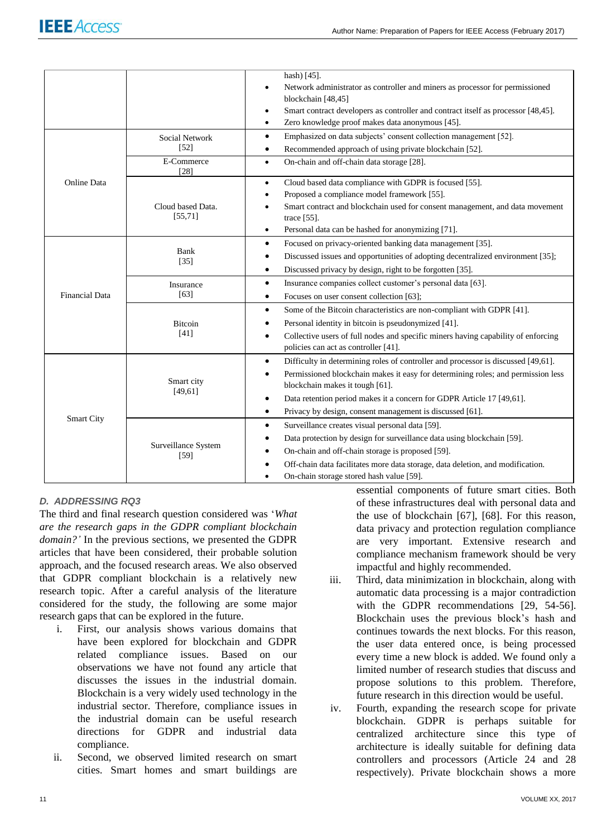|                       | <b>Social Network</b>         | hash) [45].<br>Network administrator as controller and miners as processor for permissioned<br>٠<br>blockchain [48,45]<br>Smart contract developers as controller and contract itself as processor [48,45].<br>$\bullet$<br>Zero knowledge proof makes data anonymous [45].<br>$\bullet$<br>Emphasized on data subjects' consent collection management [52].<br>$\bullet$                         |
|-----------------------|-------------------------------|---------------------------------------------------------------------------------------------------------------------------------------------------------------------------------------------------------------------------------------------------------------------------------------------------------------------------------------------------------------------------------------------------|
|                       | $[52]$                        | Recommended approach of using private blockchain [52].<br>$\bullet$                                                                                                                                                                                                                                                                                                                               |
|                       | E-Commerce<br>[28]            | On-chain and off-chain data storage [28].<br>$\bullet$                                                                                                                                                                                                                                                                                                                                            |
| <b>Online Data</b>    | Cloud based Data.<br>[55, 71] | Cloud based data compliance with GDPR is focused [55].<br>$\bullet$<br>Proposed a compliance model framework [55].<br>$\bullet$<br>Smart contract and blockchain used for consent management, and data movement<br>$\bullet$<br>trace $[55]$ .<br>Personal data can be hashed for anonymizing [71].<br>$\bullet$                                                                                  |
|                       | Bank<br>$[35]$                | Focused on privacy-oriented banking data management [35].<br>$\bullet$<br>Discussed issues and opportunities of adopting decentralized environment [35];<br>٠<br>Discussed privacy by design, right to be forgotten [35].<br>$\bullet$                                                                                                                                                            |
| <b>Financial Data</b> | Insurance<br>[63]             | Insurance companies collect customer's personal data [63].<br>$\bullet$<br>Focuses on user consent collection [63];<br>$\bullet$                                                                                                                                                                                                                                                                  |
|                       | <b>Bitcoin</b><br>[41]        | Some of the Bitcoin characteristics are non-compliant with GDPR [41].<br>$\bullet$<br>Personal identity in bitcoin is pseudonymized [41].<br>$\bullet$<br>Collective users of full nodes and specific miners having capability of enforcing<br>$\bullet$<br>policies can act as controller [41].                                                                                                  |
| <b>Smart City</b>     | Smart city<br>[49, 61]        | Difficulty in determining roles of controller and processor is discussed [49,61].<br>$\bullet$<br>Permissioned blockchain makes it easy for determining roles; and permission less<br>$\bullet$<br>blockchain makes it tough [61].<br>Data retention period makes it a concern for GDPR Article 17 [49,61].<br>$\bullet$<br>Privacy by design, consent management is discussed [61].<br>$\bullet$ |
|                       | Surveillance System<br>$[59]$ | Surveillance creates visual personal data [59].<br>$\bullet$<br>Data protection by design for surveillance data using blockchain [59].<br>$\bullet$<br>On-chain and off-chain storage is proposed [59].<br>٠<br>Off-chain data facilitates more data storage, data deletion, and modification.<br>On-chain storage stored hash value [59].                                                        |

# *D. ADDRESSING RQ3*

The third and final research question considered was '*What are the research gaps in the GDPR compliant blockchain domain?'* In the previous sections, we presented the GDPR articles that have been considered, their probable solution approach, and the focused research areas. We also observed that GDPR compliant blockchain is a relatively new research topic. After a careful analysis of the literature considered for the study, the following are some major research gaps that can be explored in the future.

- i. First, our analysis shows various domains that have been explored for blockchain and GDPR related compliance issues. Based on our observations we have not found any article that discusses the issues in the industrial domain. Blockchain is a very widely used technology in the industrial sector. Therefore, compliance issues in the industrial domain can be useful research directions for GDPR and industrial data compliance.
- ii. Second, we observed limited research on smart cities. Smart homes and smart buildings are

essential components of future smart cities. Both of these infrastructures deal with personal data and the use of blockchain [67], [68]. For this reason, data privacy and protection regulation compliance are very important. Extensive research and compliance mechanism framework should be very impactful and highly recommended.

- iii. Third, data minimization in blockchain, along with automatic data processing is a major contradiction with the GDPR recommendations [29, 54-56]. Blockchain uses the previous block's hash and continues towards the next blocks. For this reason, the user data entered once, is being processed every time a new block is added. We found only a limited number of research studies that discuss and propose solutions to this problem. Therefore, future research in this direction would be useful.
- iv. Fourth, expanding the research scope for private blockchain. GDPR is perhaps suitable for centralized architecture since this type of architecture is ideally suitable for defining data controllers and processors (Article 24 and 28 respectively). Private blockchain shows a more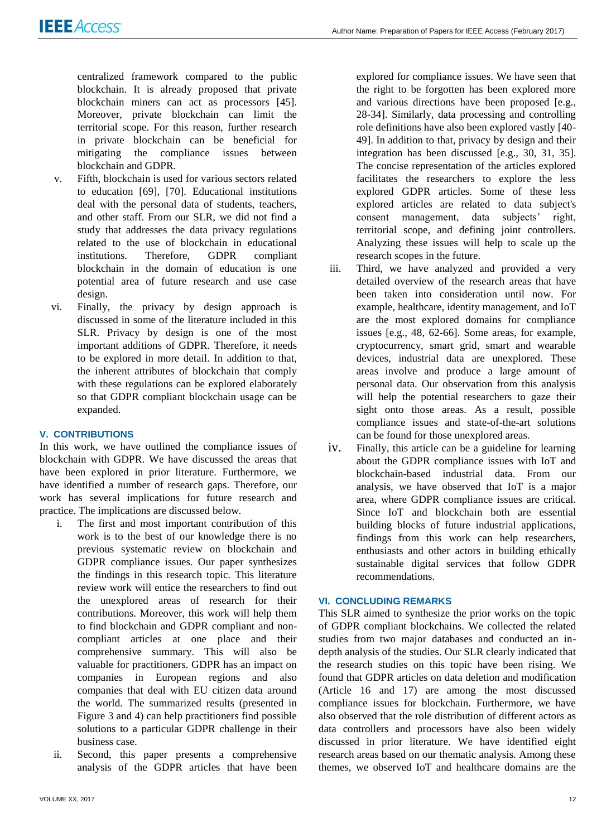centralized framework compared to the public blockchain. It is already proposed that private blockchain miners can act as processors [45]. Moreover, private blockchain can limit the territorial scope. For this reason, further research in private blockchain can be beneficial for mitigating the compliance issues between blockchain and GDPR.

- v. Fifth, blockchain is used for various sectors related to education [69], [70]. Educational institutions deal with the personal data of students, teachers, and other staff. From our SLR, we did not find a study that addresses the data privacy regulations related to the use of blockchain in educational institutions. Therefore, GDPR compliant blockchain in the domain of education is one potential area of future research and use case design.
- vi. Finally, the privacy by design approach is discussed in some of the literature included in this SLR. Privacy by design is one of the most important additions of GDPR. Therefore, it needs to be explored in more detail. In addition to that, the inherent attributes of blockchain that comply with these regulations can be explored elaborately so that GDPR compliant blockchain usage can be expanded.

# **V. CONTRIBUTIONS**

In this work, we have outlined the compliance issues of blockchain with GDPR. We have discussed the areas that have been explored in prior literature. Furthermore, we have identified a number of research gaps. Therefore, our work has several implications for future research and practice. The implications are discussed below.

- i. The first and most important contribution of this work is to the best of our knowledge there is no previous systematic review on blockchain and GDPR compliance issues. Our paper synthesizes the findings in this research topic. This literature review work will entice the researchers to find out the unexplored areas of research for their contributions. Moreover, this work will help them to find blockchain and GDPR compliant and noncompliant articles at one place and their comprehensive summary. This will also be valuable for practitioners. GDPR has an impact on companies in European regions and also companies that deal with EU citizen data around the world. The summarized results (presented in Figure 3 and 4) can help practitioners find possible solutions to a particular GDPR challenge in their business case.
- ii. Second, this paper presents a comprehensive analysis of the GDPR articles that have been

explored for compliance issues. We have seen that the right to be forgotten has been explored more and various directions have been proposed [e.g., 28-34]. Similarly, data processing and controlling role definitions have also been explored vastly [40- 49]. In addition to that, privacy by design and their integration has been discussed [e.g., 30, 31, 35]. The concise representation of the articles explored facilitates the researchers to explore the less explored GDPR articles. Some of these less explored articles are related to data subject's consent management, data subjects' right, territorial scope, and defining joint controllers. Analyzing these issues will help to scale up the research scopes in the future.

- iii. Third, we have analyzed and provided a very detailed overview of the research areas that have been taken into consideration until now. For example, healthcare, identity management, and IoT are the most explored domains for compliance issues [e.g., 48, 62-66]. Some areas, for example, cryptocurrency, smart grid, smart and wearable devices, industrial data are unexplored. These areas involve and produce a large amount of personal data. Our observation from this analysis will help the potential researchers to gaze their sight onto those areas. As a result, possible compliance issues and state-of-the-art solutions can be found for those unexplored areas.
- iv. Finally, this article can be a guideline for learning about the GDPR compliance issues with IoT and blockchain-based industrial data. From our analysis, we have observed that IoT is a major area, where GDPR compliance issues are critical. Since IoT and blockchain both are essential building blocks of future industrial applications, findings from this work can help researchers, enthusiasts and other actors in building ethically sustainable digital services that follow GDPR recommendations.

# **VI. CONCLUDING REMARKS**

This SLR aimed to synthesize the prior works on the topic of GDPR compliant blockchains. We collected the related studies from two major databases and conducted an indepth analysis of the studies. Our SLR clearly indicated that the research studies on this topic have been rising. We found that GDPR articles on data deletion and modification (Article 16 and 17) are among the most discussed compliance issues for blockchain. Furthermore, we have also observed that the role distribution of different actors as data controllers and processors have also been widely discussed in prior literature. We have identified eight research areas based on our thematic analysis. Among these themes, we observed IoT and healthcare domains are the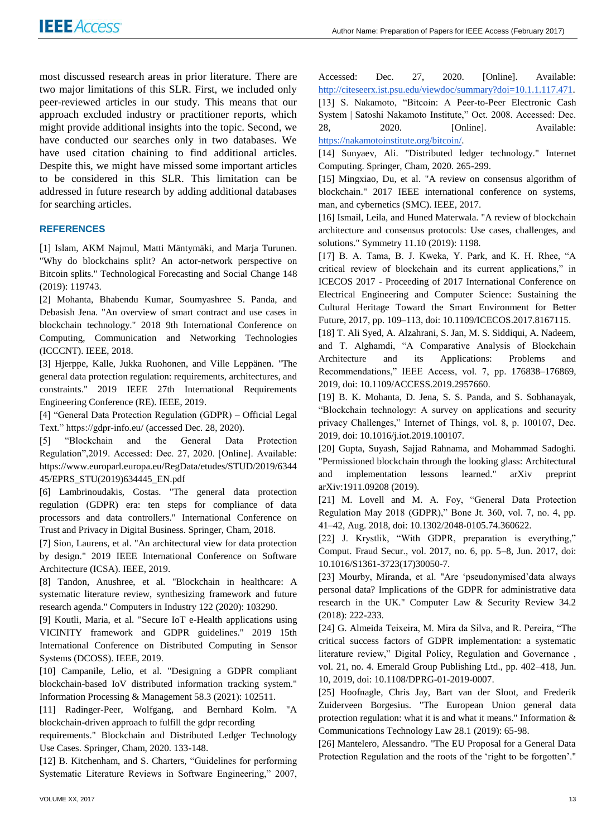most discussed research areas in prior literature. There are two major limitations of this SLR. First, we included only peer-reviewed articles in our study. This means that our approach excluded industry or practitioner reports, which might provide additional insights into the topic. Second, we have conducted our searches only in two databases. We have used citation chaining to find additional articles. Despite this, we might have missed some important articles to be considered in this SLR. This limitation can be addressed in future research by adding additional databases for searching articles.

# **REFERENCES**

[1] Islam, AKM Najmul, Matti Mäntymäki, and Marja Turunen. "Why do blockchains split? An actor-network perspective on Bitcoin splits." Technological Forecasting and Social Change 148 (2019): 119743.

[2] Mohanta, Bhabendu Kumar, Soumyashree S. Panda, and Debasish Jena. "An overview of smart contract and use cases in blockchain technology." 2018 9th International Conference on Computing, Communication and Networking Technologies (ICCCNT). IEEE, 2018.

[3] Hjerppe, Kalle, Jukka Ruohonen, and Ville Leppänen. "The general data protection regulation: requirements, architectures, and constraints." 2019 IEEE 27th International Requirements Engineering Conference (RE). IEEE, 2019.

[4] "General Data Protection Regulation (GDPR) – Official Legal Text." https://gdpr-info.eu/ (accessed Dec. 28, 2020).

[5] "Blockchain and the General Data Protection Regulation",2019. Accessed: Dec. 27, 2020. [Online]. Available: https://www.europarl.europa.eu/RegData/etudes/STUD/2019/6344 45/EPRS\_STU(2019)634445\_EN.pdf

[6] Lambrinoudakis, Costas. "The general data protection regulation (GDPR) era: ten steps for compliance of data processors and data controllers." International Conference on Trust and Privacy in Digital Business. Springer, Cham, 2018.

[7] Sion, Laurens, et al. "An architectural view for data protection by design." 2019 IEEE International Conference on Software Architecture (ICSA). IEEE, 2019.

[8] Tandon, Anushree, et al. "Blockchain in healthcare: A systematic literature review, synthesizing framework and future research agenda." Computers in Industry 122 (2020): 103290.

[9] Koutli, Maria, et al. "Secure IoT e-Health applications using VICINITY framework and GDPR guidelines." 2019 15th International Conference on Distributed Computing in Sensor Systems (DCOSS). IEEE, 2019.

[10] Campanile, Lelio, et al. "Designing a GDPR compliant blockchain-based IoV distributed information tracking system." Information Processing & Management 58.3 (2021): 102511.

[11] Radinger-Peer, Wolfgang, and Bernhard Kolm. "A blockchain-driven approach to fulfill the gdpr recording

requirements." Blockchain and Distributed Ledger Technology Use Cases. Springer, Cham, 2020. 133-148.

[12] B. Kitchenham, and S. Charters, "Guidelines for performing Systematic Literature Reviews in Software Engineering," 2007, Accessed: Dec. 27, 2020. [Online]. Available: [http://citeseerx.ist.psu.edu/viewdoc/summary?doi=10.1.1.117.471.](http://citeseerx.ist.psu.edu/viewdoc/summary?doi=10.1.1.117.471) [13] S. Nakamoto, "Bitcoin: A Peer-to-Peer Electronic Cash System | Satoshi Nakamoto Institute," Oct. 2008. Accessed: Dec. 28, 2020. [Online]. Available: [https://nakamotoinstitute.org/bitcoin/.](https://nakamotoinstitute.org/bitcoin/)

[14] Sunyaev, Ali. "Distributed ledger technology." Internet Computing. Springer, Cham, 2020. 265-299.

[15] Mingxiao, Du, et al. "A review on consensus algorithm of blockchain." 2017 IEEE international conference on systems, man, and cybernetics (SMC). IEEE, 2017.

[16] Ismail, Leila, and Huned Materwala. "A review of blockchain architecture and consensus protocols: Use cases, challenges, and solutions." Symmetry 11.10 (2019): 1198.

[17] B. A. Tama, B. J. Kweka, Y. Park, and K. H. Rhee, "A critical review of blockchain and its current applications," in ICECOS 2017 - Proceeding of 2017 International Conference on Electrical Engineering and Computer Science: Sustaining the Cultural Heritage Toward the Smart Environment for Better Future, 2017, pp. 109–113, doi: 10.1109/ICECOS.2017.8167115.

[18] T. Ali Syed, A. Alzahrani, S. Jan, M. S. Siddiqui, A. Nadeem, and T. Alghamdi, "A Comparative Analysis of Blockchain Architecture and its Applications: Problems and Recommendations," IEEE Access, vol. 7, pp. 176838–176869, 2019, doi: 10.1109/ACCESS.2019.2957660.

[19] B. K. Mohanta, D. Jena, S. S. Panda, and S. Sobhanayak, "Blockchain technology: A survey on applications and security privacy Challenges," Internet of Things, vol. 8, p. 100107, Dec. 2019, doi: 10.1016/j.iot.2019.100107.

[20] Gupta, Suyash, Sajjad Rahnama, and Mohammad Sadoghi. "Permissioned blockchain through the looking glass: Architectural and implementation lessons learned." arXiv preprint arXiv:1911.09208 (2019).

[21] M. Lovell and M. A. Foy, "General Data Protection Regulation May 2018 (GDPR)," Bone Jt. 360, vol. 7, no. 4, pp. 41–42, Aug. 2018, doi: 10.1302/2048-0105.74.360622.

[22] J. Krystlik, "With GDPR, preparation is everything," Comput. Fraud Secur., vol. 2017, no. 6, pp. 5–8, Jun. 2017, doi: 10.1016/S1361-3723(17)30050-7.

[23] Mourby, Miranda, et al. "Are 'pseudonymised'data always personal data? Implications of the GDPR for administrative data research in the UK." Computer Law & Security Review 34.2 (2018): 222-233.

[24] G. Almeida Teixeira, M. Mira da Silva, and R. Pereira, "The critical success factors of GDPR implementation: a systematic literature review," Digital Policy, Regulation and Governance , vol. 21, no. 4. Emerald Group Publishing Ltd., pp. 402–418, Jun. 10, 2019, doi: 10.1108/DPRG-01-2019-0007.

[25] Hoofnagle, Chris Jay, Bart van der Sloot, and Frederik Zuiderveen Borgesius. "The European Union general data protection regulation: what it is and what it means." Information & Communications Technology Law 28.1 (2019): 65-98.

[26] Mantelero, Alessandro. "The EU Proposal for a General Data Protection Regulation and the roots of the 'right to be forgotten'."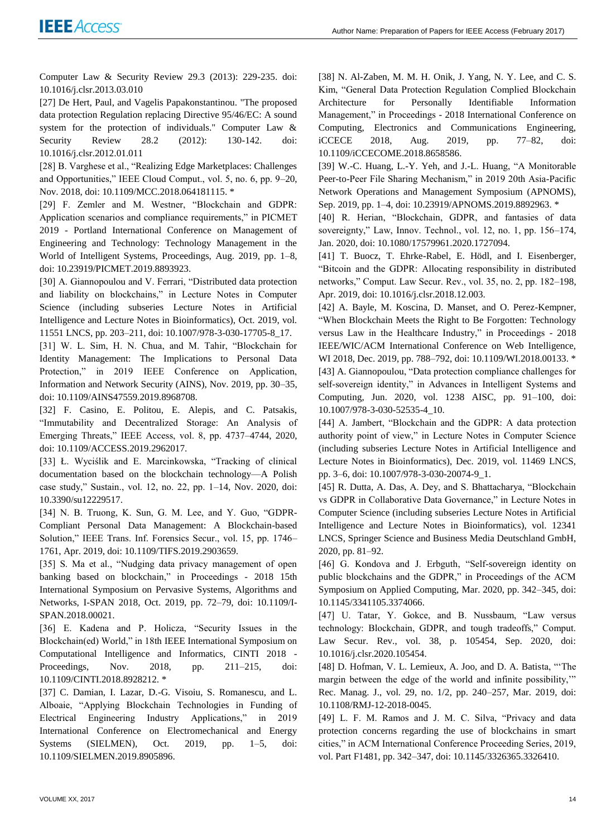Computer Law & Security Review 29.3 (2013): 229-235. doi: 10.1016/j.clsr.2013.03.010

[27] De Hert, Paul, and Vagelis Papakonstantinou. "The proposed data protection Regulation replacing Directive 95/46/EC: A sound system for the protection of individuals." Computer Law & Security Review 28.2 (2012): 130-142. doi: 10.1016/j.clsr.2012.01.011

[28] B. Varghese et al., "Realizing Edge Marketplaces: Challenges and Opportunities," IEEE Cloud Comput., vol. 5, no. 6, pp. 9–20, Nov. 2018, doi: 10.1109/MCC.2018.064181115. \*

[29] F. Zemler and M. Westner, "Blockchain and GDPR: Application scenarios and compliance requirements," in PICMET 2019 - Portland International Conference on Management of Engineering and Technology: Technology Management in the World of Intelligent Systems, Proceedings, Aug. 2019, pp. 1–8, doi: 10.23919/PICMET.2019.8893923.

[30] A. Giannopoulou and V. Ferrari, "Distributed data protection and liability on blockchains," in Lecture Notes in Computer Science (including subseries Lecture Notes in Artificial Intelligence and Lecture Notes in Bioinformatics), Oct. 2019, vol. 11551 LNCS, pp. 203–211, doi: 10.1007/978-3-030-17705-8\_17.

[31] W. L. Sim, H. N. Chua, and M. Tahir, "Blockchain for Identity Management: The Implications to Personal Data Protection," in 2019 IEEE Conference on Application, Information and Network Security (AINS), Nov. 2019, pp. 30–35, doi: 10.1109/AINS47559.2019.8968708.

[32] F. Casino, E. Politou, E. Alepis, and C. Patsakis, "Immutability and Decentralized Storage: An Analysis of Emerging Threats," IEEE Access, vol. 8, pp. 4737–4744, 2020, doi: 10.1109/ACCESS.2019.2962017.

[33] Ł. Wyciślik and E. Marcinkowska, "Tracking of clinical documentation based on the blockchain technology—A Polish case study," Sustain., vol. 12, no. 22, pp. 1–14, Nov. 2020, doi: 10.3390/su12229517.

[34] N. B. Truong, K. Sun, G. M. Lee, and Y. Guo, "GDPR-Compliant Personal Data Management: A Blockchain-based Solution," IEEE Trans. Inf. Forensics Secur., vol. 15, pp. 1746– 1761, Apr. 2019, doi: 10.1109/TIFS.2019.2903659.

[35] S. Ma et al., "Nudging data privacy management of open banking based on blockchain," in Proceedings - 2018 15th International Symposium on Pervasive Systems, Algorithms and Networks, I-SPAN 2018, Oct. 2019, pp. 72–79, doi: 10.1109/I-SPAN.2018.00021.

[36] E. Kadena and P. Holicza, "Security Issues in the Blockchain(ed) World," in 18th IEEE International Symposium on Computational Intelligence and Informatics, CINTI 2018 - Proceedings, Nov. 2018, pp. 211–215, doi: 10.1109/CINTI.2018.8928212. \*

[37] C. Damian, I. Lazar, D.-G. Visoiu, S. Romanescu, and L. Alboaie, "Applying Blockchain Technologies in Funding of Electrical Engineering Industry Applications," in 2019 International Conference on Electromechanical and Energy Systems (SIELMEN), Oct. 2019, pp. 1–5, doi: 10.1109/SIELMEN.2019.8905896.

[38] N. Al-Zaben, M. M. H. Onik, J. Yang, N. Y. Lee, and C. S. Kim, "General Data Protection Regulation Complied Blockchain Architecture for Personally Identifiable Information Management," in Proceedings - 2018 International Conference on Computing, Electronics and Communications Engineering, iCCECE 2018, Aug. 2019, pp. 77–82, doi: 10.1109/iCCECOME.2018.8658586.

[39] W.-C. Huang, L.-Y. Yeh, and J.-L. Huang, "A Monitorable Peer-to-Peer File Sharing Mechanism," in 2019 20th Asia-Pacific Network Operations and Management Symposium (APNOMS), Sep. 2019, pp. 1–4, doi: 10.23919/APNOMS.2019.8892963. \*

[40] R. Herian, "Blockchain, GDPR, and fantasies of data sovereignty," Law, Innov. Technol., vol. 12, no. 1, pp. 156–174, Jan. 2020, doi: 10.1080/17579961.2020.1727094.

[41] T. Buocz, T. Ehrke-Rabel, E. Hödl, and I. Eisenberger, "Bitcoin and the GDPR: Allocating responsibility in distributed networks," Comput. Law Secur. Rev., vol. 35, no. 2, pp. 182–198, Apr. 2019, doi: 10.1016/j.clsr.2018.12.003.

[42] A. Bayle, M. Koscina, D. Manset, and O. Perez-Kempner, "When Blockchain Meets the Right to Be Forgotten: Technology versus Law in the Healthcare Industry," in Proceedings - 2018 IEEE/WIC/ACM International Conference on Web Intelligence, WI 2018, Dec. 2019, pp. 788–792, doi: 10.1109/WI.2018.00133. \* [43] A. Giannopoulou, "Data protection compliance challenges for self-sovereign identity," in Advances in Intelligent Systems and Computing, Jun. 2020, vol. 1238 AISC, pp. 91–100, doi: 10.1007/978-3-030-52535-4\_10.

[44] A. Jambert, "Blockchain and the GDPR: A data protection authority point of view," in Lecture Notes in Computer Science (including subseries Lecture Notes in Artificial Intelligence and Lecture Notes in Bioinformatics), Dec. 2019, vol. 11469 LNCS, pp. 3–6, doi: 10.1007/978-3-030-20074-9\_1.

[45] R. Dutta, A. Das, A. Dey, and S. Bhattacharya, "Blockchain vs GDPR in Collaborative Data Governance," in Lecture Notes in Computer Science (including subseries Lecture Notes in Artificial Intelligence and Lecture Notes in Bioinformatics), vol. 12341 LNCS, Springer Science and Business Media Deutschland GmbH, 2020, pp. 81–92.

[46] G. Kondova and J. Erbguth, "Self-sovereign identity on public blockchains and the GDPR," in Proceedings of the ACM Symposium on Applied Computing, Mar. 2020, pp. 342–345, doi: 10.1145/3341105.3374066.

[47] U. Tatar, Y. Gokce, and B. Nussbaum, "Law versus technology: Blockchain, GDPR, and tough tradeoffs," Comput. Law Secur. Rev., vol. 38, p. 105454, Sep. 2020, doi: 10.1016/j.clsr.2020.105454.

[48] D. Hofman, V. L. Lemieux, A. Joo, and D. A. Batista, "'The margin between the edge of the world and infinite possibility,'" Rec. Manag. J., vol. 29, no. 1/2, pp. 240–257, Mar. 2019, doi: 10.1108/RMJ-12-2018-0045.

[49] L. F. M. Ramos and J. M. C. Silva, "Privacy and data protection concerns regarding the use of blockchains in smart cities," in ACM International Conference Proceeding Series, 2019, vol. Part F1481, pp. 342–347, doi: 10.1145/3326365.3326410.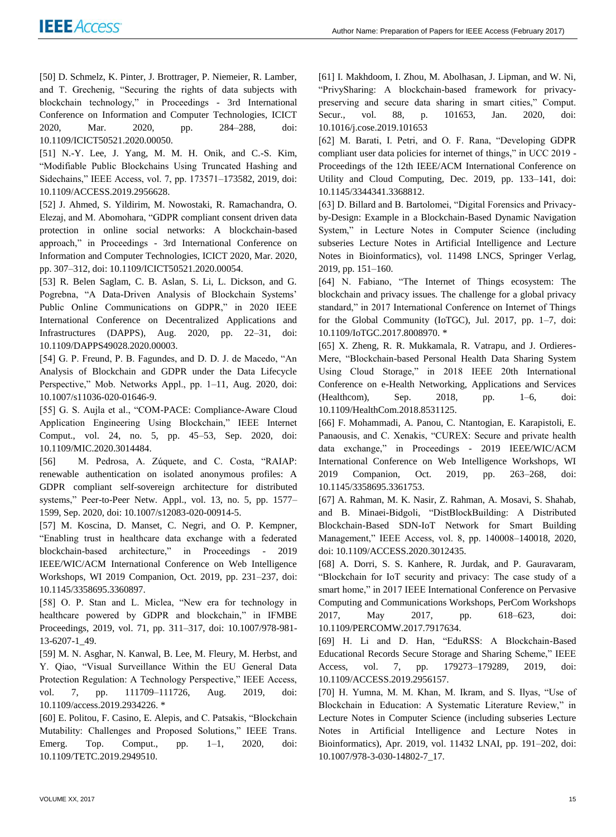[50] D. Schmelz, K. Pinter, J. Brottrager, P. Niemeier, R. Lamber, and T. Grechenig, "Securing the rights of data subjects with blockchain technology," in Proceedings - 3rd International Conference on Information and Computer Technologies, ICICT 2020, Mar. 2020, pp. 284–288, doi: 10.1109/ICICT50521.2020.00050.

[51] N.-Y. Lee, J. Yang, M. M. H. Onik, and C.-S. Kim, "Modifiable Public Blockchains Using Truncated Hashing and Sidechains," IEEE Access, vol. 7, pp. 173571–173582, 2019, doi: 10.1109/ACCESS.2019.2956628.

[52] J. Ahmed, S. Yildirim, M. Nowostaki, R. Ramachandra, O. Elezaj, and M. Abomohara, "GDPR compliant consent driven data protection in online social networks: A blockchain-based approach," in Proceedings - 3rd International Conference on Information and Computer Technologies, ICICT 2020, Mar. 2020, pp. 307–312, doi: 10.1109/ICICT50521.2020.00054.

[53] R. Belen Saglam, C. B. Aslan, S. Li, L. Dickson, and G. Pogrebna, "A Data-Driven Analysis of Blockchain Systems' Public Online Communications on GDPR," in 2020 IEEE International Conference on Decentralized Applications and Infrastructures (DAPPS), Aug. 2020, pp. 22–31, doi: 10.1109/DAPPS49028.2020.00003.

[54] G. P. Freund, P. B. Fagundes, and D. D. J. de Macedo, "An Analysis of Blockchain and GDPR under the Data Lifecycle Perspective," Mob. Networks Appl., pp. 1–11, Aug. 2020, doi: 10.1007/s11036-020-01646-9.

[55] G. S. Aujla et al., "COM-PACE: Compliance-Aware Cloud Application Engineering Using Blockchain," IEEE Internet Comput., vol. 24, no. 5, pp. 45–53, Sep. 2020, doi: 10.1109/MIC.2020.3014484.

[56] M. Pedrosa, A. Zúquete, and C. Costa, "RAIAP: renewable authentication on isolated anonymous profiles: A GDPR compliant self-sovereign architecture for distributed systems," Peer-to-Peer Netw. Appl., vol. 13, no. 5, pp. 1577– 1599, Sep. 2020, doi: 10.1007/s12083-020-00914-5.

[57] M. Koscina, D. Manset, C. Negri, and O. P. Kempner, "Enabling trust in healthcare data exchange with a federated blockchain-based architecture," in Proceedings - 2019 IEEE/WIC/ACM International Conference on Web Intelligence Workshops, WI 2019 Companion, Oct. 2019, pp. 231–237, doi: 10.1145/3358695.3360897.

[58] O. P. Stan and L. Miclea, "New era for technology in healthcare powered by GDPR and blockchain," in IFMBE Proceedings, 2019, vol. 71, pp. 311–317, doi: 10.1007/978-981- 13-6207-1\_49.

[59] M. N. Asghar, N. Kanwal, B. Lee, M. Fleury, M. Herbst, and Y. Qiao, "Visual Surveillance Within the EU General Data Protection Regulation: A Technology Perspective," IEEE Access, vol. 7, pp. 111709–111726, Aug. 2019, doi: 10.1109/access.2019.2934226. \*

[60] E. Politou, F. Casino, E. Alepis, and C. Patsakis, "Blockchain Mutability: Challenges and Proposed Solutions," IEEE Trans. Emerg. Top. Comput., pp. 1–1, 2020, doi: 10.1109/TETC.2019.2949510.

[61] I. Makhdoom, I. Zhou, M. Abolhasan, J. Lipman, and W. Ni, "PrivySharing: A blockchain-based framework for privacypreserving and secure data sharing in smart cities," Comput. Secur., vol. 88, p. 101653, Jan. 2020, doi: 10.1016/j.cose.2019.101653

[62] M. Barati, I. Petri, and O. F. Rana, "Developing GDPR compliant user data policies for internet of things," in UCC 2019 - Proceedings of the 12th IEEE/ACM International Conference on Utility and Cloud Computing, Dec. 2019, pp. 133–141, doi: 10.1145/3344341.3368812.

[63] D. Billard and B. Bartolomei, "Digital Forensics and Privacyby-Design: Example in a Blockchain-Based Dynamic Navigation System," in Lecture Notes in Computer Science (including subseries Lecture Notes in Artificial Intelligence and Lecture Notes in Bioinformatics), vol. 11498 LNCS, Springer Verlag, 2019, pp. 151–160.

[64] N. Fabiano, "The Internet of Things ecosystem: The blockchain and privacy issues. The challenge for a global privacy standard," in 2017 International Conference on Internet of Things for the Global Community (IoTGC), Jul. 2017, pp. 1–7, doi: 10.1109/IoTGC.2017.8008970. \*

[65] X. Zheng, R. R. Mukkamala, R. Vatrapu, and J. Ordieres-Mere, "Blockchain-based Personal Health Data Sharing System Using Cloud Storage," in 2018 IEEE 20th International Conference on e-Health Networking, Applications and Services (Healthcom), Sep. 2018, pp. 1–6, doi: 10.1109/HealthCom.2018.8531125.

[66] F. Mohammadi, A. Panou, C. Ntantogian, E. Karapistoli, E. Panaousis, and C. Xenakis, "CUREX: Secure and private health data exchange," in Proceedings - 2019 IEEE/WIC/ACM International Conference on Web Intelligence Workshops, WI 2019 Companion, Oct. 2019, pp. 263–268, doi: 10.1145/3358695.3361753.

[67] A. Rahman, M. K. Nasir, Z. Rahman, A. Mosavi, S. Shahab, and B. Minaei-Bidgoli, "DistBlockBuilding: A Distributed Blockchain-Based SDN-IoT Network for Smart Building Management," IEEE Access, vol. 8, pp. 140008–140018, 2020, doi: 10.1109/ACCESS.2020.3012435.

[68] A. Dorri, S. S. Kanhere, R. Jurdak, and P. Gauravaram, "Blockchain for IoT security and privacy: The case study of a smart home," in 2017 IEEE International Conference on Pervasive Computing and Communications Workshops, PerCom Workshops 2017, May 2017, pp. 618–623, doi: 10.1109/PERCOMW.2017.7917634.

[69] H. Li and D. Han, "EduRSS: A Blockchain-Based Educational Records Secure Storage and Sharing Scheme," IEEE Access, vol. 7, pp. 179273–179289, 2019, doi: 10.1109/ACCESS.2019.2956157.

[70] H. Yumna, M. M. Khan, M. Ikram, and S. Ilyas, "Use of Blockchain in Education: A Systematic Literature Review," in Lecture Notes in Computer Science (including subseries Lecture Notes in Artificial Intelligence and Lecture Notes in Bioinformatics), Apr. 2019, vol. 11432 LNAI, pp. 191–202, doi: 10.1007/978-3-030-14802-7\_17.